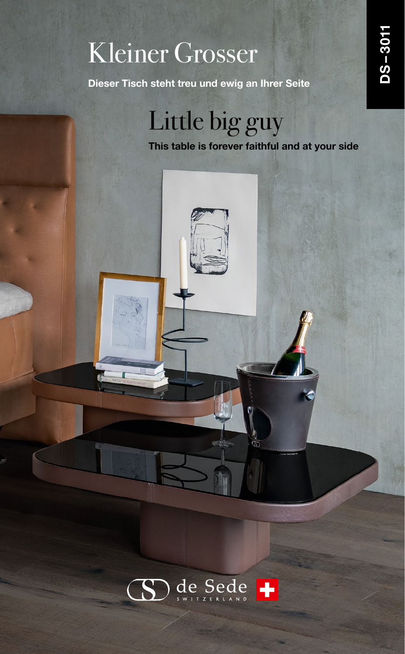## Kleiner Grosser

Dieser Tisch steht treu und ewig an Ihrer Seite

Little big guy

This table is forever faithful and at your side

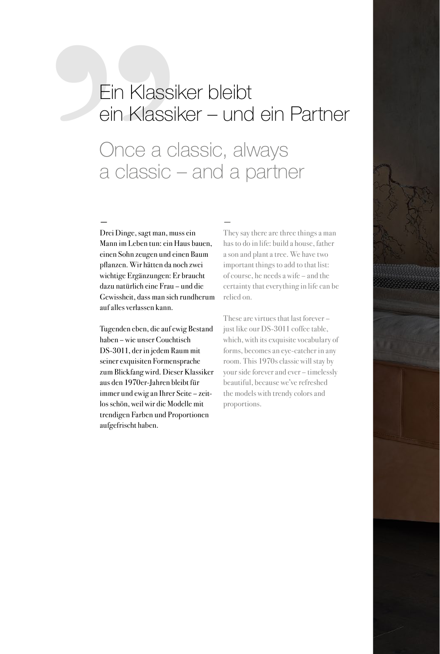# Ein Klassiker bleibt ein Klassiker – und ein Partner Ein Klassike<br>"Ein Klassike<br>"Cin Klassike

### Once a classic, always a classic – and a partner

Drei Dinge, sagt man, muss ein Mann im Leben tun: ein Haus bauen, einen Sohn zeugen und einen Baum pflanzen. Wir hätten da noch zwei wichtige Ergänzungen: Er braucht dazu natürlich eine Frau – und die Gewissheit, dass man sich rundherum auf alles verlassen kann.

*—*

Tugenden eben, die auf ewig Bestand haben – wie unser Couchtisch DS-3011, der in jedem Raum mit seiner exquisiten Formensprache zum Blickfang wird. Dieser Klassiker aus den 1970er-Jahren bleibt für immer und ewig an Ihrer Seite – zeitlos schön, weil wir die Modelle mit trendigen Farben und Proportionen aufgefrischt haben.

*—* They say there are three things a man has to do in life: build a house, father a son and plant a tree. We have two important things to add to that list: of course, he needs a wife – and the certainty that everything in life can be relied on.

These are virtues that last forever – just like our DS-3011 coffee table, which, with its exquisite vocabulary of forms, becomes an eye-catcher in any room. This 1970s classic will stay by your side forever and ever – timelessly beautiful, because we've refreshed the models with trendy colors and proportions.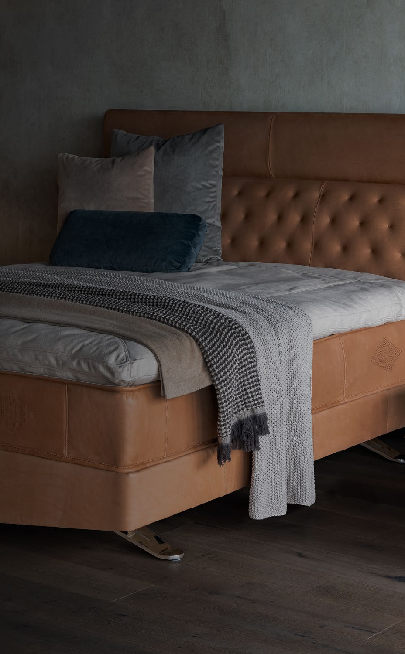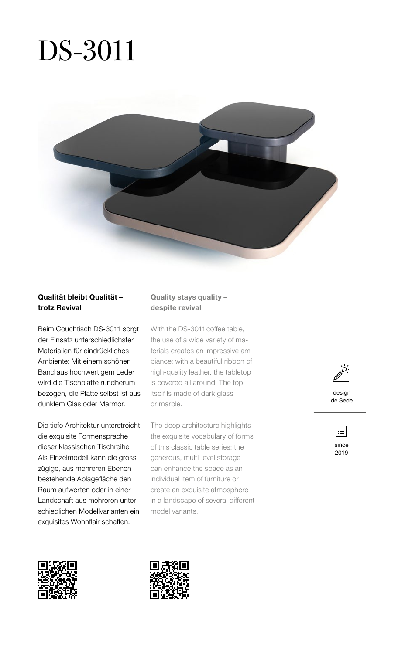## DS-3011



#### **Qualität bleibt Qualität – trotz Revival**

Beim Couchtisch DS-3011 sorgt der Einsatz unterschiedlichster Materialien für eindrückliches Ambiente: Mit einem schönen Band aus hochwertigem Leder wird die Tischplatte rundherum bezogen, die Platte selbst ist aus dunklem Glas oder Marmor.

Die tiefe Architektur unterstreicht die exquisite Formensprache dieser klassischen Tischreihe: Als Einzelmodell kann die grosszügige, aus mehreren Ebenen bestehende Ablagefläche den Raum aufwerten oder in einer Landschaft aus mehreren unterschiedlichen Modellvarianten ein exquisites Wohnflair schaffen.

#### **Quality stays quality – despite revival**

With the DS-3011 coffee table, the use of a wide variety of materials creates an impressive ambiance: with a beautiful ribbon of high-quality leather, the tabletop is covered all around. The top itself is made of dark glass or marble.

The deep architecture highlights the exquisite vocabulary of forms of this classic table series: the generous, multi-level storage can enhance the space as an individual item of furniture or create an exquisite atmosphere in a landscape of several different model variants.



design de Sede





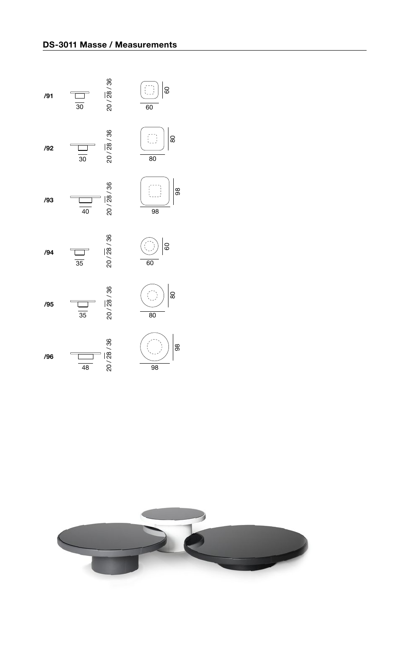